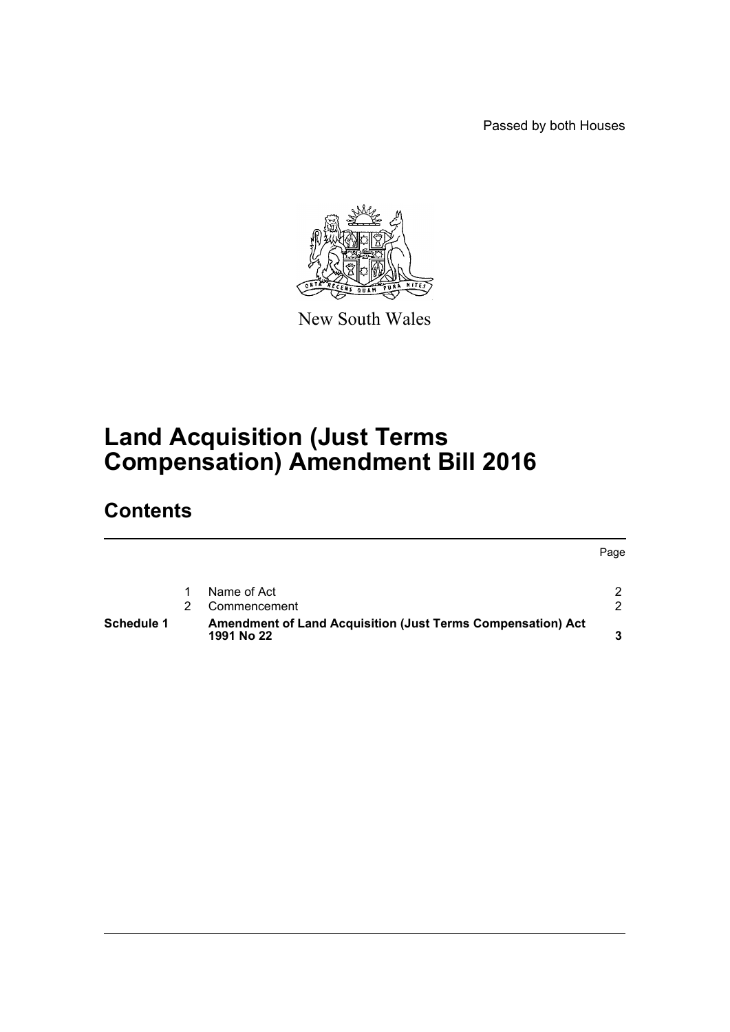Passed by both Houses

Page



New South Wales

# **Land Acquisition (Just Terms Compensation) Amendment Bill 2016**

# **Contents**

| Schedule 1 | <b>Amendment of Land Acquisition (Just Terms Compensation) Act</b><br>1991 No 22 |  |
|------------|----------------------------------------------------------------------------------|--|
|            | Commencement                                                                     |  |
|            | Name of Act                                                                      |  |
|            |                                                                                  |  |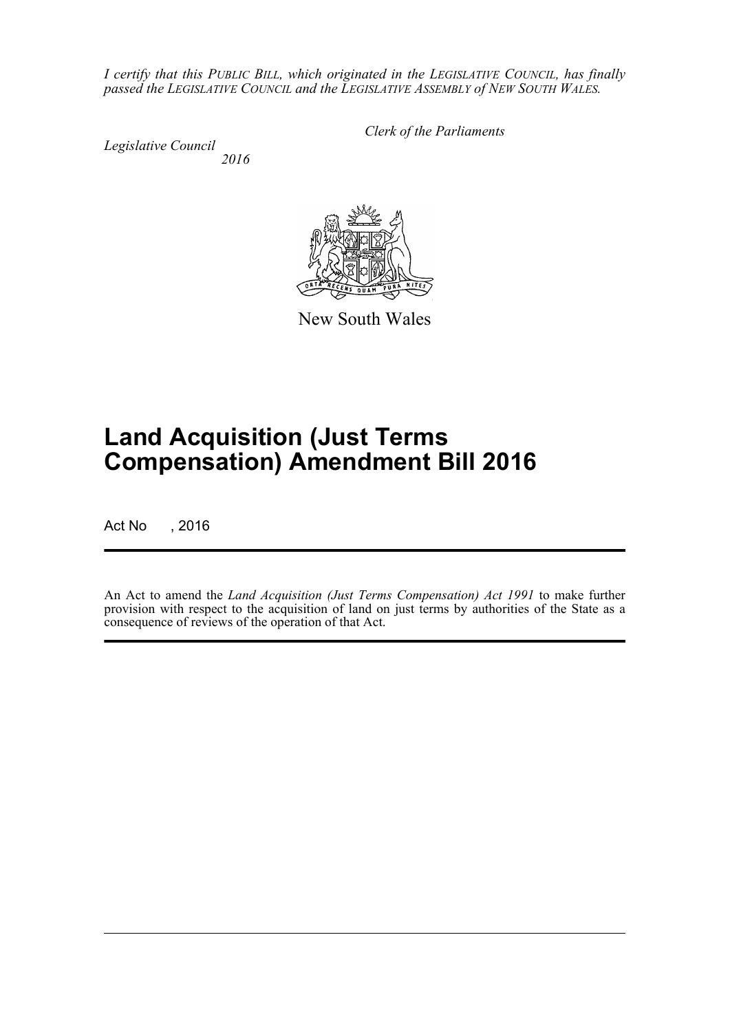*I certify that this PUBLIC BILL, which originated in the LEGISLATIVE COUNCIL, has finally passed the LEGISLATIVE COUNCIL and the LEGISLATIVE ASSEMBLY of NEW SOUTH WALES.*

*Legislative Council 2016* *Clerk of the Parliaments*

New South Wales

# **Land Acquisition (Just Terms Compensation) Amendment Bill 2016**

Act No , 2016

An Act to amend the *Land Acquisition (Just Terms Compensation) Act 1991* to make further provision with respect to the acquisition of land on just terms by authorities of the State as a consequence of reviews of the operation of that Act.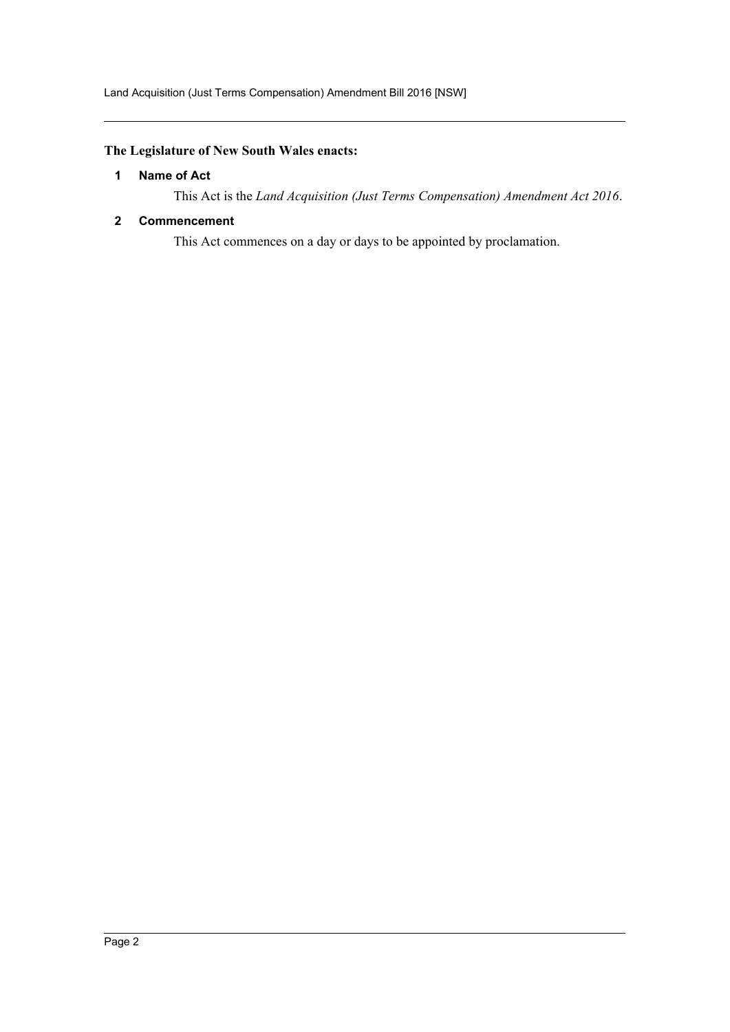# <span id="page-2-0"></span>**The Legislature of New South Wales enacts:**

#### **1 Name of Act**

This Act is the *Land Acquisition (Just Terms Compensation) Amendment Act 2016*.

#### <span id="page-2-1"></span>**2 Commencement**

This Act commences on a day or days to be appointed by proclamation.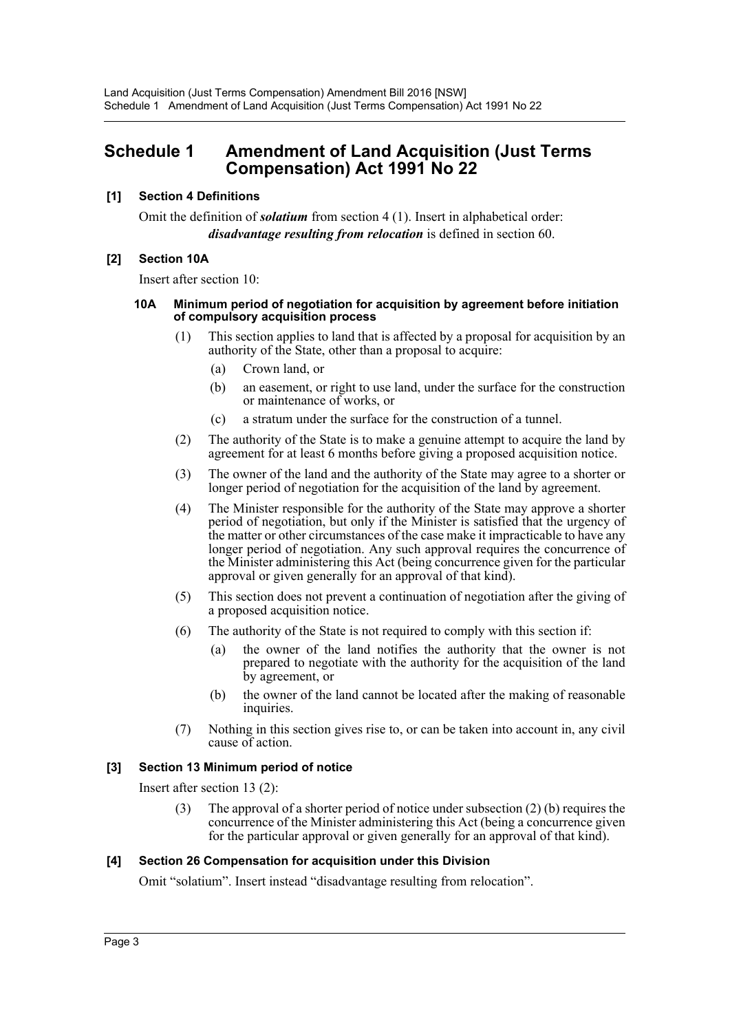# <span id="page-3-0"></span>**Schedule 1 Amendment of Land Acquisition (Just Terms Compensation) Act 1991 No 22**

# **[1] Section 4 Definitions**

Omit the definition of *solatium* from section 4 (1). Insert in alphabetical order: *disadvantage resulting from relocation* is defined in section 60.

#### **[2] Section 10A**

Insert after section 10:

#### **10A Minimum period of negotiation for acquisition by agreement before initiation of compulsory acquisition process**

- (1) This section applies to land that is affected by a proposal for acquisition by an authority of the State, other than a proposal to acquire:
	- (a) Crown land, or
	- (b) an easement, or right to use land, under the surface for the construction or maintenance of works, or
	- (c) a stratum under the surface for the construction of a tunnel.
- (2) The authority of the State is to make a genuine attempt to acquire the land by agreement for at least 6 months before giving a proposed acquisition notice.
- (3) The owner of the land and the authority of the State may agree to a shorter or longer period of negotiation for the acquisition of the land by agreement.
- (4) The Minister responsible for the authority of the State may approve a shorter period of negotiation, but only if the Minister is satisfied that the urgency of the matter or other circumstances of the case make it impracticable to have any longer period of negotiation. Any such approval requires the concurrence of the Minister administering this Act (being concurrence given for the particular approval or given generally for an approval of that kind).
- (5) This section does not prevent a continuation of negotiation after the giving of a proposed acquisition notice.
- (6) The authority of the State is not required to comply with this section if:
	- (a) the owner of the land notifies the authority that the owner is not prepared to negotiate with the authority for the acquisition of the land by agreement, or
	- (b) the owner of the land cannot be located after the making of reasonable inquiries.
- (7) Nothing in this section gives rise to, or can be taken into account in, any civil cause of action.

#### **[3] Section 13 Minimum period of notice**

Insert after section 13 (2):

(3) The approval of a shorter period of notice under subsection (2) (b) requires the concurrence of the Minister administering this Act (being a concurrence given for the particular approval or given generally for an approval of that kind).

#### **[4] Section 26 Compensation for acquisition under this Division**

Omit "solatium". Insert instead "disadvantage resulting from relocation".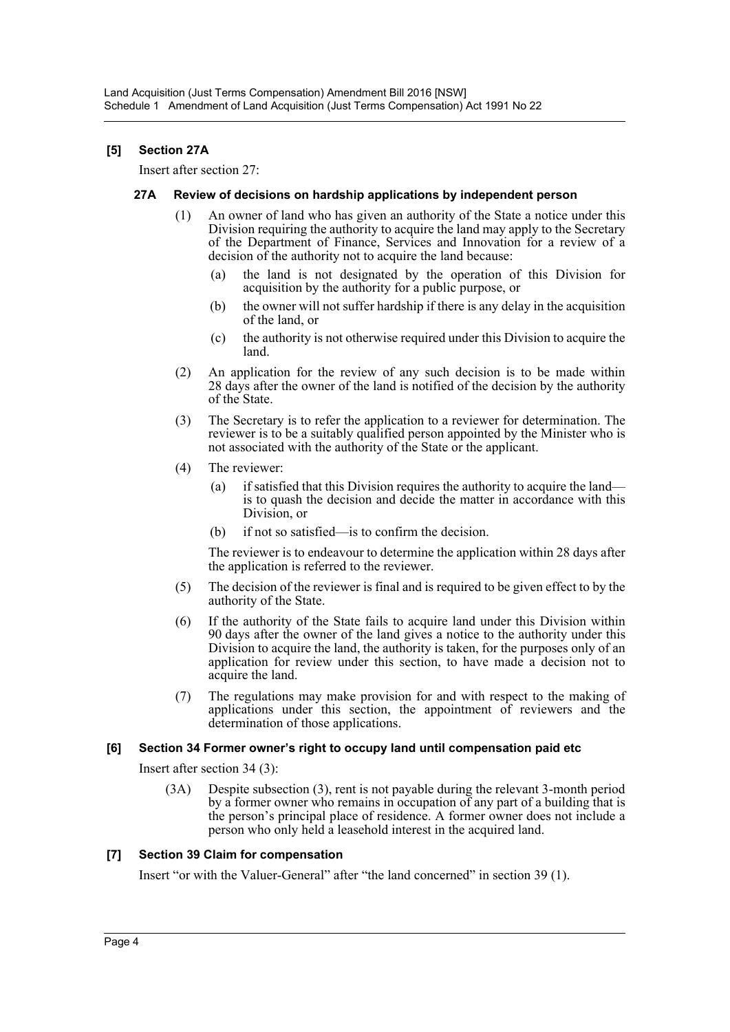# **[5] Section 27A**

Insert after section 27:

#### **27A Review of decisions on hardship applications by independent person**

- (1) An owner of land who has given an authority of the State a notice under this Division requiring the authority to acquire the land may apply to the Secretary of the Department of Finance, Services and Innovation for a review of a decision of the authority not to acquire the land because:
	- (a) the land is not designated by the operation of this Division for acquisition by the authority for a public purpose, or
	- (b) the owner will not suffer hardship if there is any delay in the acquisition of the land, or
	- (c) the authority is not otherwise required under this Division to acquire the land.
- (2) An application for the review of any such decision is to be made within 28 days after the owner of the land is notified of the decision by the authority of the State.
- (3) The Secretary is to refer the application to a reviewer for determination. The reviewer is to be a suitably qualified person appointed by the Minister who is not associated with the authority of the State or the applicant.
- (4) The reviewer:
	- (a) if satisfied that this Division requires the authority to acquire the land is to quash the decision and decide the matter in accordance with this Division or
	- (b) if not so satisfied—is to confirm the decision.

The reviewer is to endeavour to determine the application within 28 days after the application is referred to the reviewer.

- (5) The decision of the reviewer is final and is required to be given effect to by the authority of the State.
- (6) If the authority of the State fails to acquire land under this Division within 90 days after the owner of the land gives a notice to the authority under this Division to acquire the land, the authority is taken, for the purposes only of an application for review under this section, to have made a decision not to acquire the land.
- (7) The regulations may make provision for and with respect to the making of applications under this section, the appointment of reviewers and the determination of those applications.

#### **[6] Section 34 Former owner's right to occupy land until compensation paid etc**

Insert after section 34 (3):

(3A) Despite subsection (3), rent is not payable during the relevant 3-month period by a former owner who remains in occupation of any part of a building that is the person's principal place of residence. A former owner does not include a person who only held a leasehold interest in the acquired land.

#### **[7] Section 39 Claim for compensation**

Insert "or with the Valuer-General" after "the land concerned" in section 39 (1).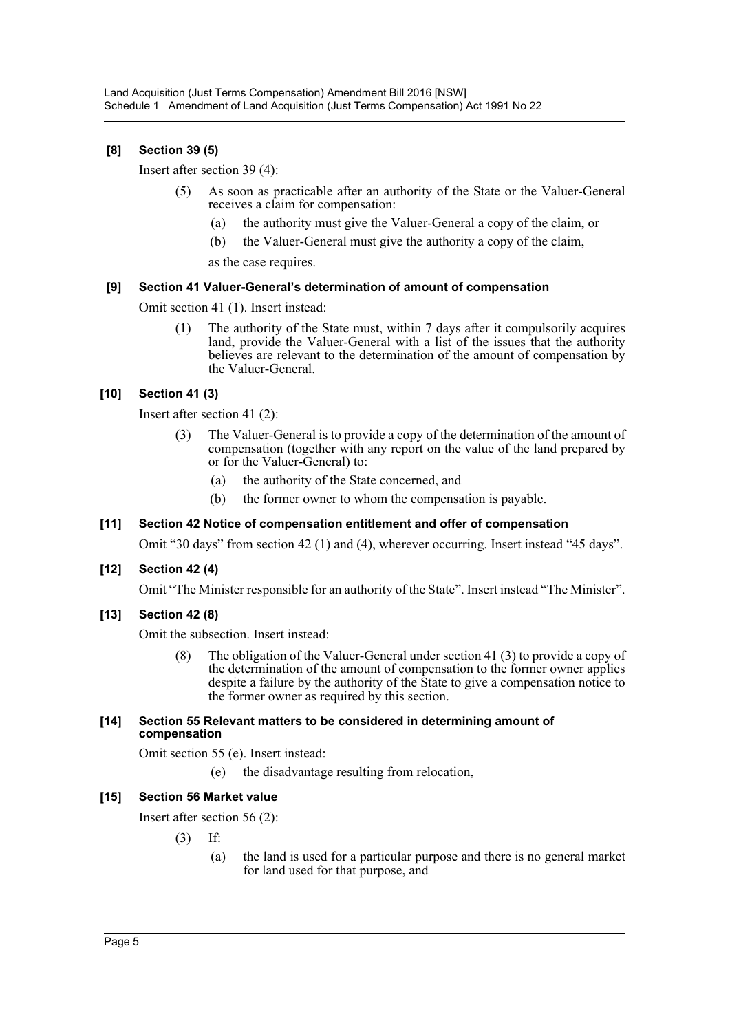# **[8] Section 39 (5)**

Insert after section 39 (4):

- (5) As soon as practicable after an authority of the State or the Valuer-General receives a claim for compensation:
	- (a) the authority must give the Valuer-General a copy of the claim, or
	- (b) the Valuer-General must give the authority a copy of the claim,

as the case requires.

#### **[9] Section 41 Valuer-General's determination of amount of compensation**

Omit section 41 (1). Insert instead:

(1) The authority of the State must, within 7 days after it compulsorily acquires land, provide the Valuer-General with a list of the issues that the authority believes are relevant to the determination of the amount of compensation by the Valuer-General.

# **[10] Section 41 (3)**

Insert after section 41 (2):

- (3) The Valuer-General is to provide a copy of the determination of the amount of compensation (together with any report on the value of the land prepared by or for the Valuer-General) to:
	- (a) the authority of the State concerned, and
	- (b) the former owner to whom the compensation is payable.

#### **[11] Section 42 Notice of compensation entitlement and offer of compensation**

Omit "30 days" from section 42 (1) and (4), wherever occurring. Insert instead "45 days".

# **[12] Section 42 (4)**

Omit "The Minister responsible for an authority of the State". Insert instead "The Minister".

#### **[13] Section 42 (8)**

Omit the subsection. Insert instead:

(8) The obligation of the Valuer-General under section 41 (3) to provide a copy of the determination of the amount of compensation to the former owner applies despite a failure by the authority of the State to give a compensation notice to the former owner as required by this section.

#### **[14] Section 55 Relevant matters to be considered in determining amount of compensation**

Omit section 55 (e). Insert instead:

(e) the disadvantage resulting from relocation,

# **[15] Section 56 Market value**

Insert after section 56 (2):

- (3) If:
	- (a) the land is used for a particular purpose and there is no general market for land used for that purpose, and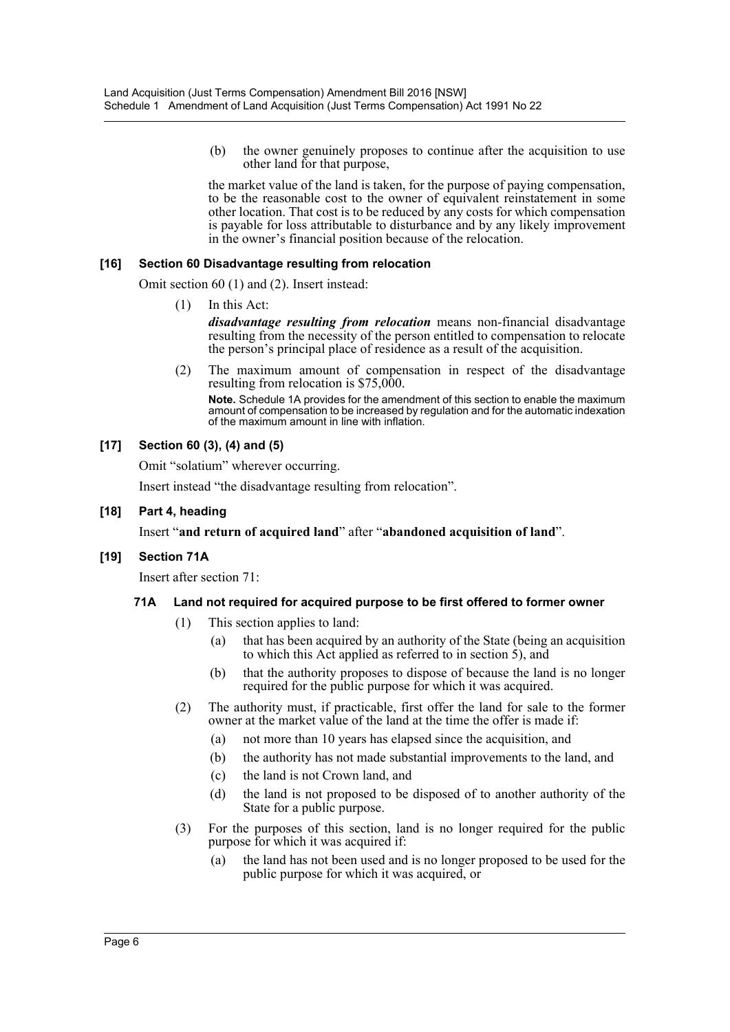(b) the owner genuinely proposes to continue after the acquisition to use other land for that purpose,

the market value of the land is taken, for the purpose of paying compensation, to be the reasonable cost to the owner of equivalent reinstatement in some other location. That cost is to be reduced by any costs for which compensation is payable for loss attributable to disturbance and by any likely improvement in the owner's financial position because of the relocation.

#### **[16] Section 60 Disadvantage resulting from relocation**

Omit section 60 (1) and (2). Insert instead:

(1) In this Act:

*disadvantage resulting from relocation* means non-financial disadvantage resulting from the necessity of the person entitled to compensation to relocate the person's principal place of residence as a result of the acquisition.

(2) The maximum amount of compensation in respect of the disadvantage resulting from relocation is \$75,000.

**Note.** Schedule 1A provides for the amendment of this section to enable the maximum amount of compensation to be increased by regulation and for the automatic indexation of the maximum amount in line with inflation.

# **[17] Section 60 (3), (4) and (5)**

Omit "solatium" wherever occurring.

Insert instead "the disadvantage resulting from relocation".

#### **[18] Part 4, heading**

#### Insert "**and return of acquired land**" after "**abandoned acquisition of land**".

#### **[19] Section 71A**

Insert after section 71:

#### **71A Land not required for acquired purpose to be first offered to former owner**

- (1) This section applies to land:
	- (a) that has been acquired by an authority of the State (being an acquisition to which this Act applied as referred to in section 5), and
	- (b) that the authority proposes to dispose of because the land is no longer required for the public purpose for which it was acquired.
- (2) The authority must, if practicable, first offer the land for sale to the former owner at the market value of the land at the time the offer is made if:
	- (a) not more than 10 years has elapsed since the acquisition, and
	- (b) the authority has not made substantial improvements to the land, and
	- (c) the land is not Crown land, and
	- (d) the land is not proposed to be disposed of to another authority of the State for a public purpose.
- (3) For the purposes of this section, land is no longer required for the public purpose for which it was acquired if:
	- (a) the land has not been used and is no longer proposed to be used for the public purpose for which it was acquired, or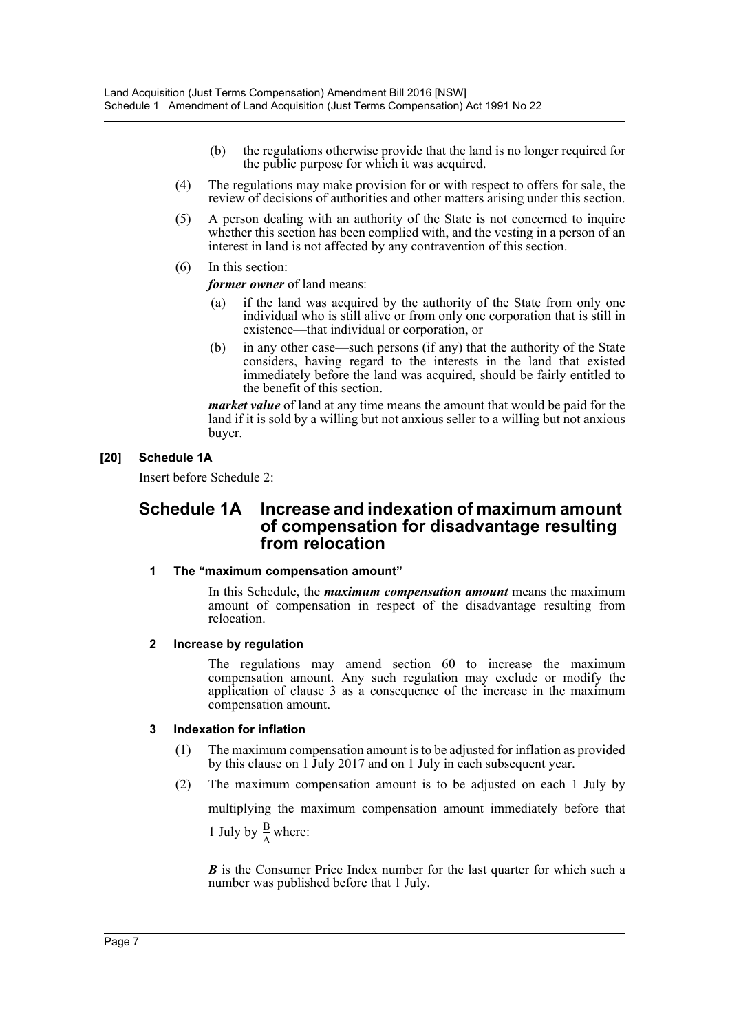- (b) the regulations otherwise provide that the land is no longer required for the public purpose for which it was acquired.
- (4) The regulations may make provision for or with respect to offers for sale, the review of decisions of authorities and other matters arising under this section.
- (5) A person dealing with an authority of the State is not concerned to inquire whether this section has been complied with, and the vesting in a person of an interest in land is not affected by any contravention of this section.
- (6) In this section:

*former owner* of land means:

- (a) if the land was acquired by the authority of the State from only one individual who is still alive or from only one corporation that is still in existence—that individual or corporation, or
- (b) in any other case—such persons (if any) that the authority of the State considers, having regard to the interests in the land that existed immediately before the land was acquired, should be fairly entitled to the benefit of this section.

*market value* of land at any time means the amount that would be paid for the land if it is sold by a willing but not anxious seller to a willing but not anxious buyer.

# **[20] Schedule 1A**

Insert before Schedule 2:

# **Schedule 1A Increase and indexation of maximum amount of compensation for disadvantage resulting from relocation**

# **1 The "maximum compensation amount"**

In this Schedule, the *maximum compensation amount* means the maximum amount of compensation in respect of the disadvantage resulting from relocation.

# **2 Increase by regulation**

The regulations may amend section 60 to increase the maximum compensation amount. Any such regulation may exclude or modify the application of clause 3 as a consequence of the increase in the maximum compensation amount.

# **3 Indexation for inflation**

- (1) The maximum compensation amount is to be adjusted for inflation as provided by this clause on 1 July 2017 and on 1 July in each subsequent year.
- (2) The maximum compensation amount is to be adjusted on each 1 July by

multiplying the maximum compensation amount immediately before that 1 July by  $\frac{B}{4}$  where:  $\frac{D}{A}$ 

*B* is the Consumer Price Index number for the last quarter for which such a number was published before that 1 July.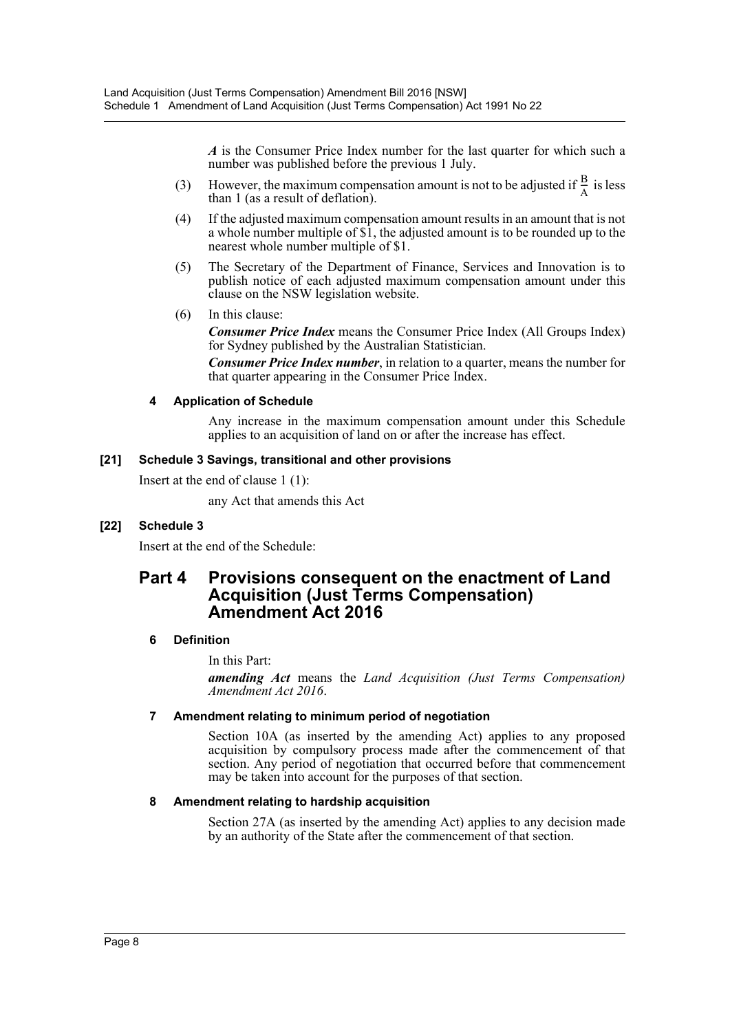*A* is the Consumer Price Index number for the last quarter for which such a number was published before the previous 1 July.

- (3) However, the maximum compensation amount is not to be adjusted if  $\frac{B}{A}$  is less than 1 (as a result of deflation).  $\frac{D}{A}$
- (4) If the adjusted maximum compensation amount results in an amount that is not a whole number multiple of \$1, the adjusted amount is to be rounded up to the nearest whole number multiple of \$1.
- (5) The Secretary of the Department of Finance, Services and Innovation is to publish notice of each adjusted maximum compensation amount under this clause on the NSW legislation website.
- (6) In this clause:

*Consumer Price Index* means the Consumer Price Index (All Groups Index) for Sydney published by the Australian Statistician.

*Consumer Price Index number*, in relation to a quarter, means the number for that quarter appearing in the Consumer Price Index.

# **4 Application of Schedule**

Any increase in the maximum compensation amount under this Schedule applies to an acquisition of land on or after the increase has effect.

#### **[21] Schedule 3 Savings, transitional and other provisions**

Insert at the end of clause 1 (1):

any Act that amends this Act

# **[22] Schedule 3**

Insert at the end of the Schedule:

# **Part 4 Provisions consequent on the enactment of Land Acquisition (Just Terms Compensation) Amendment Act 2016**

# **6 Definition**

In this Part:

*amending Act* means the *Land Acquisition (Just Terms Compensation) Amendment Act 2016*.

#### **7 Amendment relating to minimum period of negotiation**

Section 10A (as inserted by the amending Act) applies to any proposed acquisition by compulsory process made after the commencement of that section. Any period of negotiation that occurred before that commencement may be taken into account for the purposes of that section.

#### **8 Amendment relating to hardship acquisition**

Section 27A (as inserted by the amending Act) applies to any decision made by an authority of the State after the commencement of that section.